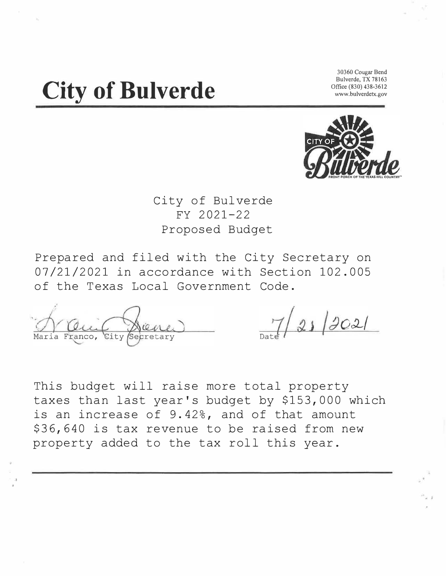# **City of Bulverde**

**30360 Cougar Bend Bulverde, TX 78163 Office (830) 438-3612 www.bulverdetx.gov** 



City of Bulverde FY 2021-22 Proposed Budget

Prepared and filed with the City Secretary on 07/21/2021 in accordance with Section 102.005 of the Texas Local Government Code.

Franco, Secretary

This budget will raise more total property taxes than last year's budget by \$153,000 which is an increase of 9.42%, and of that amount \$36,640 is tax revenue to be raised from new property added to the tax roll this year.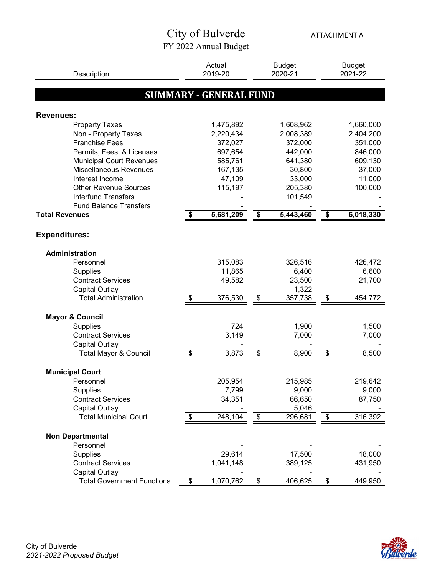### City of Bulverde FY 2022 Annual Budget

ATTACHMENT A

| Description                       | Actual<br>2019-20             | <b>Budget</b><br>2020-21  |           | <b>Budget</b><br>2021-22 |           |
|-----------------------------------|-------------------------------|---------------------------|-----------|--------------------------|-----------|
|                                   |                               |                           |           |                          |           |
|                                   | <b>SUMMARY - GENERAL FUND</b> |                           |           |                          |           |
|                                   |                               |                           |           |                          |           |
| <b>Revenues:</b>                  |                               |                           |           |                          |           |
| <b>Property Taxes</b>             | 1,475,892                     |                           | 1,608,962 |                          | 1,660,000 |
| Non - Property Taxes              | 2,220,434                     |                           | 2,008,389 |                          | 2,404,200 |
| <b>Franchise Fees</b>             | 372,027                       |                           | 372,000   |                          | 351,000   |
| Permits, Fees, & Licenses         | 697,654                       |                           | 442,000   |                          | 846,000   |
| <b>Municipal Court Revenues</b>   | 585,761                       |                           | 641,380   |                          | 609,130   |
| Miscellaneous Revenues            | 167,135                       |                           | 30,800    |                          | 37,000    |
| Interest Income                   | 47,109                        |                           | 33,000    |                          | 11,000    |
| <b>Other Revenue Sources</b>      | 115,197                       |                           | 205,380   |                          | 100,000   |
| <b>Interfund Transfers</b>        |                               |                           | 101,549   |                          |           |
| <b>Fund Balance Transfers</b>     |                               |                           |           |                          |           |
| <b>Total Revenues</b>             | \$<br>5,681,209               | \$                        | 5,443,460 | \$                       | 6,018,330 |
|                                   |                               |                           |           |                          |           |
| <b>Expenditures:</b>              |                               |                           |           |                          |           |
| <b>Administration</b>             |                               |                           |           |                          |           |
| Personnel                         | 315,083                       |                           | 326,516   |                          | 426,472   |
| <b>Supplies</b>                   | 11,865                        |                           | 6,400     |                          | 6,600     |
| <b>Contract Services</b>          | 49,582                        |                           | 23,500    |                          | 21,700    |
| Capital Outlay                    |                               |                           | 1,322     |                          |           |
| <b>Total Administration</b>       | \$<br>376,530                 | $\overline{\mathcal{E}}$  | 357,738   | $\overline{\mathcal{E}}$ | 454,772   |
| <b>Mayor &amp; Council</b>        |                               |                           |           |                          |           |
| <b>Supplies</b>                   | 724                           |                           | 1,900     |                          | 1,500     |
| <b>Contract Services</b>          | 3,149                         |                           | 7,000     |                          | 7,000     |
| Capital Outlay                    |                               |                           |           |                          |           |
| Total Mayor & Council             | \$<br>3,873                   | \$                        | 8,900     | \$                       | 8,500     |
|                                   |                               |                           |           |                          |           |
| <b>Municipal Court</b>            |                               |                           |           |                          |           |
| Personnel                         | 205,954                       |                           | 215,985   |                          | 219,642   |
| Supplies                          | 7,799                         |                           | 9,000     |                          | 9,000     |
| <b>Contract Services</b>          | 34,351                        |                           | 66,650    |                          | 87,750    |
| <b>Capital Outlay</b>             |                               |                           | 5,046     |                          |           |
| <b>Total Municipal Court</b>      | \$<br>248,104                 | \$                        | 296,681   | $\,$                     | 316,392   |
| <b>Non Departmental</b>           |                               |                           |           |                          |           |
| Personnel                         |                               |                           |           |                          |           |
| <b>Supplies</b>                   | 29,614                        |                           | 17,500    |                          | 18,000    |
| <b>Contract Services</b>          | 1,041,148                     |                           | 389,125   |                          | 431,950   |
| <b>Capital Outlay</b>             |                               |                           |           |                          |           |
| <b>Total Government Functions</b> | \$<br>1,070,762               | $\overline{\mathfrak{s}}$ | 406,625   | \$                       | 449,950   |

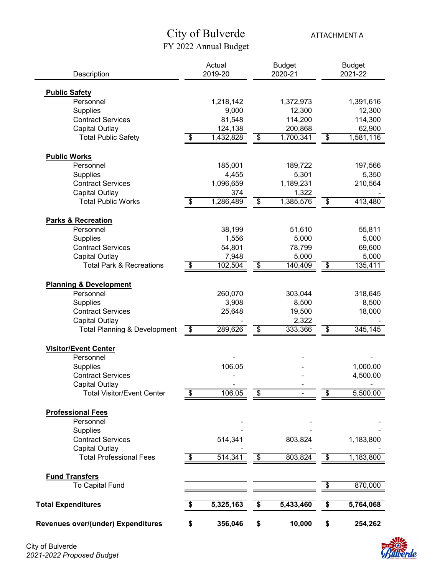## City of Bulverde FY 2022 Annual Budget

ATTACHMENT A

| Description                              | Actual<br>2019-20          |           | <b>Budget</b><br>2020-21 |           | <b>Budget</b><br>2021-22 |           |
|------------------------------------------|----------------------------|-----------|--------------------------|-----------|--------------------------|-----------|
|                                          |                            |           |                          |           |                          |           |
| <b>Public Safety</b>                     |                            |           |                          |           |                          |           |
| Personnel                                |                            | 1,218,142 |                          | 1,372,973 |                          | 1,391,616 |
| <b>Supplies</b>                          |                            | 9,000     |                          | 12,300    |                          | 12,300    |
| <b>Contract Services</b>                 |                            | 81,548    |                          | 114,200   |                          | 114,300   |
| <b>Capital Outlay</b>                    |                            | 124,138   |                          | 200,868   |                          | 62,900    |
| <b>Total Public Safety</b>               | $\boldsymbol{\mathsf{\$}}$ | 1,432,828 | \$                       | 1,700,341 | \$                       | 1,581,116 |
| <b>Public Works</b>                      |                            |           |                          |           |                          |           |
| Personnel                                |                            | 185,001   |                          | 189,722   |                          | 197,566   |
| <b>Supplies</b>                          |                            | 4,455     |                          | 5,301     |                          | 5,350     |
| <b>Contract Services</b>                 |                            | 1,096,659 |                          | 1,189,231 |                          | 210,564   |
| <b>Capital Outlay</b>                    |                            | 374       |                          | 1,322     |                          |           |
| <b>Total Public Works</b>                | \$                         | 1,286,489 | \$                       | 1,385,576 | \$                       | 413,480   |
| <b>Parks &amp; Recreation</b>            |                            |           |                          |           |                          |           |
| Personnel                                |                            | 38,199    |                          | 51,610    |                          | 55,811    |
| <b>Supplies</b>                          |                            | 1,556     |                          | 5,000     |                          | 5,000     |
| <b>Contract Services</b>                 |                            | 54,801    |                          | 78,799    |                          | 69,600    |
| Capital Outlay                           |                            | 7,948     |                          | 5,000     |                          | 5,000     |
| <b>Total Park &amp; Recreations</b>      | \$                         | 102,504   | \$                       | 140,409   | $\overline{\mathcal{E}}$ | 135,411   |
|                                          |                            |           |                          |           |                          |           |
| <b>Planning &amp; Development</b>        |                            |           |                          |           |                          |           |
| Personnel                                |                            | 260,070   |                          | 303,044   |                          | 318,645   |
| <b>Supplies</b>                          |                            | 3,908     |                          | 8,500     |                          | 8,500     |
| <b>Contract Services</b>                 |                            | 25,648    |                          | 19,500    |                          | 18,000    |
| <b>Capital Outlay</b>                    |                            |           |                          | 2,322     |                          |           |
| <b>Total Planning &amp; Development</b>  | \$                         | 289,626   | \$                       | 333,366   | \$                       | 345,145   |
| <b>Visitor/Event Center</b>              |                            |           |                          |           |                          |           |
| Personnel                                |                            |           |                          |           |                          |           |
| <b>Supplies</b>                          |                            | 106.05    |                          |           |                          | 1,000.00  |
| <b>Contract Services</b>                 |                            |           |                          |           |                          | 4,500.00  |
| <b>Capital Outlay</b>                    |                            |           |                          |           |                          |           |
| <b>Total Visitor/Event Center</b>        | \$                         | 106.05    | \$                       |           | \$                       | 5,500.00  |
| <b>Professional Fees</b>                 |                            |           |                          |           |                          |           |
| Personnel                                |                            |           |                          |           |                          |           |
| Supplies                                 |                            |           |                          |           |                          |           |
| <b>Contract Services</b>                 |                            | 514,341   |                          | 803,824   |                          | 1,183,800 |
| <b>Capital Outlay</b>                    |                            |           |                          |           |                          |           |
| <b>Total Professional Fees</b>           | \$                         | 514,341   | \$                       | 803,824   | \$                       | 1,183,800 |
|                                          |                            |           |                          |           |                          |           |
| <b>Fund Transfers</b><br>To Capital Fund |                            |           |                          |           | \$                       | 870,000   |
|                                          |                            |           |                          |           |                          |           |
| <b>Total Expenditures</b>                | \$                         | 5,325,163 | \$                       | 5,433,460 | \$                       | 5,764,068 |
| Revenues over/(under) Expenditures       | \$                         | 356,046   | \$                       | 10,000    | \$                       | 254,262   |